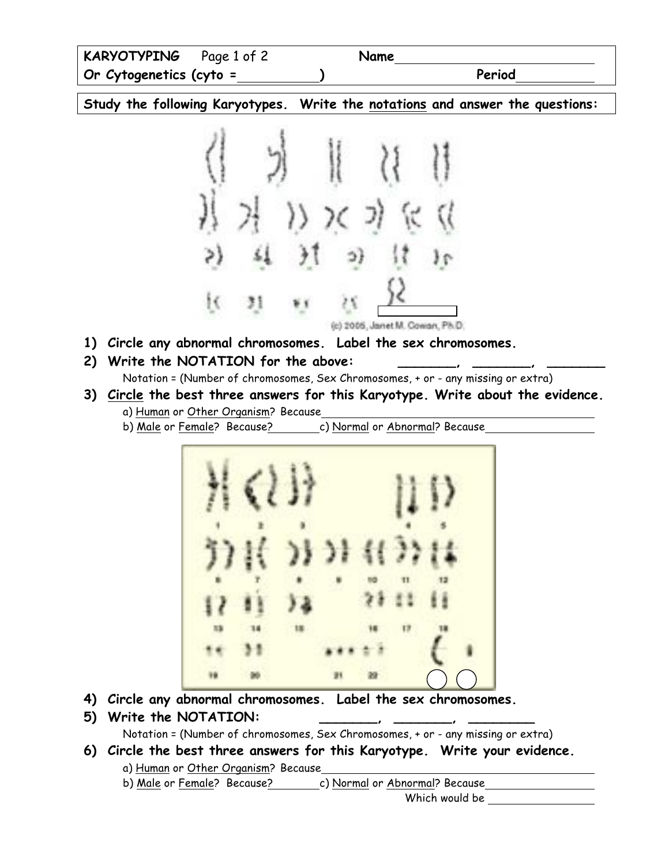| <b>KARYOTYPING</b> Page 1 of 2 |  | Name   |  |
|--------------------------------|--|--------|--|
| Or Cytogenetics (cyto =        |  | Period |  |

**Study the following Karyotypes. Write the notations and answer the questions:**



- **1) Circle any abnormal chromosomes. Label the sex chromosomes.**
- 2) Write the NOTATION for the above: Notation = (Number of chromosomes, Sex Chromosomes, + or - any missing or extra)
- **3) Circle the best three answers for this Karyotype. Write about the evidence.** a) Human or Other Organism? Because
	- b) Male or Female? Because? c) Normal or Abnormal? Because



- **4) Circle any abnormal chromosomes. Label the sex chromosomes.**
- **5)** Write the NOTATION:

Notation = (Number of chromosomes, Sex Chromosomes, + or - any missing or extra)

- **6) Circle the best three answers for this Karyotype. Write your evidence.**
	- a) Human or Other Organism? Because

b) Male or Female? Because? c) Normal or Abnormal? Because

Which would be